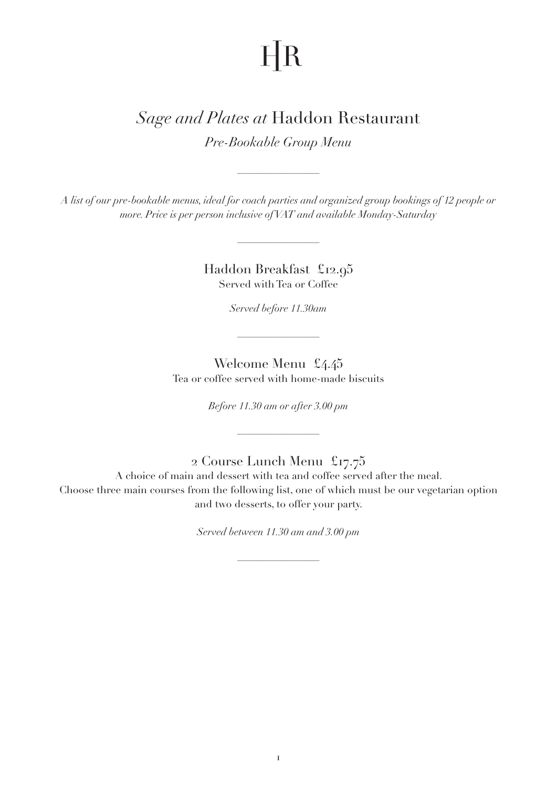## $HR$

## *Sage and Plates at* Haddon Restaurant

*Pre-Bookable Group Menu*

*A list of our pre-bookable menus, ideal for coach parties and organized group bookings of 12 people or more. Price is per person inclusive of VAT and available Monday-Saturday*

 $\frac{1}{2}$ 

Haddon Breakfast £12.95 Served with Tea or Coffee

*Served before 11.30am*

 $\frac{1}{2}$ 

Welcome Menu £4.45 Tea or coffee served with home-made biscuits

*Before 11.30 am or after 3.00 pm* 

## 2 Course Lunch Menu £17.75

A choice of main and dessert with tea and coffee served after the meal. Choose three main courses from the following list, one of which must be our vegetarian option and two desserts, to offer your party.

*Served between 11.30 am and 3.00 pm*

 $\frac{1}{2}$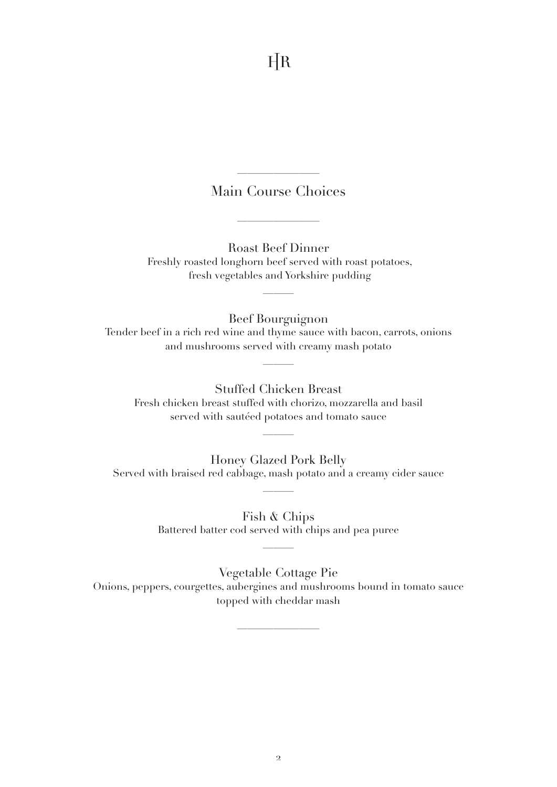$HR$ 

## Main Course Choices

 $\frac{1}{2}$ 

 $\frac{1}{2}$ 

Roast Beef Dinner Freshly roasted longhorn beef served with roast potatoes, fresh vegetables and Yorkshire pudding

 $\frac{1}{2}$ 

Beef Bourguignon Tender beef in a rich red wine and thyme sauce with bacon, carrots, onions and mushrooms served with creamy mash potato

Stuffed Chicken Breast Fresh chicken breast stuffed with chorizo, mozzarella and basil served with sautéed potatoes and tomato sauce

Honey Glazed Pork Belly Served with braised red cabbage, mash potato and a creamy cider sauce

 $\overline{\phantom{a}}$ 

Fish & Chips Battered batter cod served with chips and pea puree

 $\frac{1}{2}$ 

Vegetable Cottage Pie Onions, peppers, courgettes, aubergines and mushrooms bound in tomato sauce topped with cheddar mash

 $\frac{1}{2}$